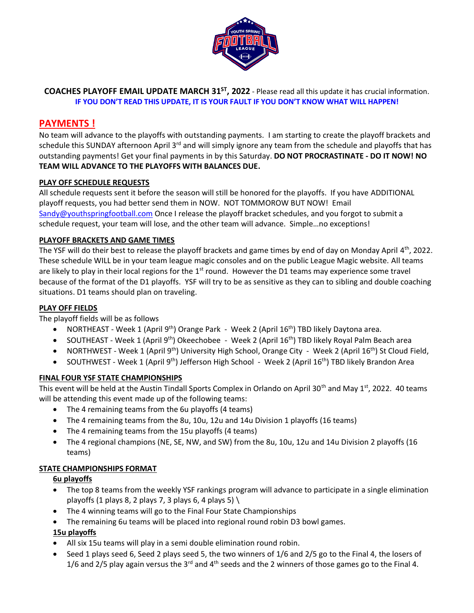

**COACHES PLAYOFF EMAIL UPDATE MARCH 31 ST, 2022** - Please read all this update it has crucial information. **IF YOU DON'T READ THIS UPDATE, IT IS YOUR FAULT IF YOU DON'T KNOW WHAT WILL HAPPEN!**

# **PAYMENTS !**

No team will advance to the playoffs with outstanding payments. I am starting to create the playoff brackets and schedule this SUNDAY afternoon April 3<sup>rd</sup> and will simply ignore any team from the schedule and playoffs that has outstanding payments! Get your final payments in by this Saturday. **DO NOT PROCRASTINATE - DO IT NOW! NO TEAM WILL ADVANCE TO THE PLAYOFFS WITH BALANCES DUE.**

## **PLAY OFF SCHEDULE REQUESTS**

All schedule requests sent it before the season will still be honored for the playoffs. If you have ADDITIONAL playoff requests, you had better send them in NOW. NOT TOMMOROW BUT NOW! Email [Sandy@youthspringfootball.com](mailto:Sandy@youthspringfootball.com) Once I release the playoff bracket schedules, and you forgot to submit a schedule request, your team will lose, and the other team will advance. Simple…no exceptions!

#### **PLAYOFF BRACKETS AND GAME TIMES**

The YSF will do their best to release the playoff brackets and game times by end of day on Monday April 4<sup>th</sup>, 2022. These schedule WILL be in your team league magic consoles and on the public League Magic website. All teams are likely to play in their local regions for the  $1<sup>st</sup>$  round. However the D1 teams may experience some travel because of the format of the D1 playoffs. YSF will try to be as sensitive as they can to sibling and double coaching situations. D1 teams should plan on traveling.

### **PLAY OFF FIELDS**

The playoff fields will be as follows

- NORTHEAST Week 1 (April 9<sup>th</sup>) Orange Park Week 2 (April 16<sup>th</sup>) TBD likely Daytona area.
- SOUTHEAST Week 1 (April 9<sup>th</sup>) Okeechobee Week 2 (April 16<sup>th</sup>) TBD likely Royal Palm Beach area
- NORTHWEST Week 1 (April 9<sup>th</sup>) University High School, Orange City Week 2 (April 16<sup>th</sup>) St Cloud Field,
- SOUTHWEST Week 1 (April 9<sup>th</sup>) Jefferson High School Week 2 (April 16<sup>th</sup>) TBD likely Brandon Area

#### **FINAL FOUR YSF STATE CHAMPIONSHIPS**

This event will be held at the Austin Tindall Sports Complex in Orlando on April 30<sup>th</sup> and May  $1^{st}$ , 2022. 40 teams will be attending this event made up of the following teams:

- The 4 remaining teams from the 6u playoffs (4 teams)
- The 4 remaining teams from the 8u, 10u, 12u and 14u Division 1 playoffs (16 teams)
- The 4 remaining teams from the 15u playoffs (4 teams)
- The 4 regional champions (NE, SE, NW, and SW) from the 8u, 10u, 12u and 14u Division 2 playoffs (16 teams)

## **STATE CHAMPIONSHIPS FORMAT**

#### **6u playoffs**

- The top 8 teams from the weekly YSF rankings program will advance to participate in a single elimination playoffs (1 plays 8, 2 plays 7, 3 plays 6, 4 plays 5)  $\setminus$
- The 4 winning teams will go to the Final Four State Championships
- The remaining 6u teams will be placed into regional round robin D3 bowl games.

## **15u playoffs**

- All six 15u teams will play in a semi double elimination round robin.
- Seed 1 plays seed 6, Seed 2 plays seed 5, the two winners of 1/6 and 2/5 go to the Final 4, the losers of 1/6 and 2/5 play again versus the 3<sup>rd</sup> and 4<sup>th</sup> seeds and the 2 winners of those games go to the Final 4.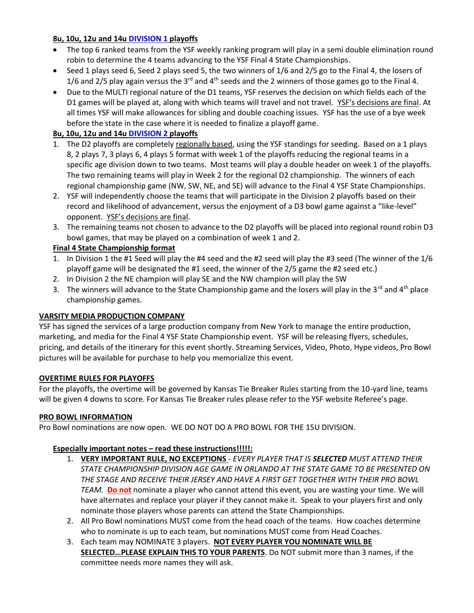## **8u, 10u, 12u and 14u DIVISION 1 playoffs**

- The top 6 ranked teams from the YSF weekly ranking program will play in a semi double elimination round robin to determine the 4 teams advancing to the YSF Final 4 State Championships.
- Seed 1 plays seed 6, Seed 2 plays seed 5, the two winners of 1/6 and 2/5 go to the Final 4, the losers of 1/6 and 2/5 play again versus the 3<sup>rd</sup> and 4<sup>th</sup> seeds and the 2 winners of those games go to the Final 4.
- Due to the MULTI regional nature of the D1 teams, YSF reserves the decision on which fields each of the D1 games will be played at, along with which teams will travel and not travel. YSF's decisions are final. At all times YSF will make allowances for sibling and double coaching issues. YSF has the use of a bye week before the state in the case where it is needed to finalize a playoff game.

## **8u, 10u, 12u and 14u DIVISION 2 playoffs**

- 1. The D2 playoffs are completely regionally based, using the YSF standings for seeding. Based on a 1 plays 8, 2 plays 7, 3 plays 6, 4 plays 5 format with week 1 of the playoffs reducing the regional teams in a specific age division down to two teams. Most teams will play a double header on week 1 of the playoffs. The two remaining teams will play in Week 2 for the regional D2 championship. The winners of each regional championship game (NW, SW, NE, and SE) will advance to the Final 4 YSF State Championships.
- 2. YSF will independently choose the teams that will participate in the Division 2 playoffs based on their record and likelihood of advancement, versus the enjoyment of a D3 bowl game against a "like-level" opponent. YSF's decisions are final.
- 3. The remaining teams not chosen to advance to the D2 playoffs will be placed into regional round robin D3 bowl games, that may be played on a combination of week 1 and 2.

## **Final 4 State Championship format**

- 1. In Division 1 the #1 Seed will play the #4 seed and the #2 seed will play the #3 seed (The winner of the 1/6 playoff game will be designated the #1 seed, the winner of the 2/5 game the #2 seed etc.)
- 2. In Division 2 the NE champion will play SE and the NW champion will play the SW
- 3. The winners will advance to the State Championship game and the losers will play in the 3<sup>rd</sup> and 4<sup>th</sup> place championship games.

## **VARSITY MEDIA PRODUCTION COMPANY**

YSF has signed the services of a large production company from New York to manage the entire production, marketing, and media for the Final 4 YSF State Championship event. YSF will be releasing flyers, schedules, pricing, and details of the itinerary for this event shortly. Streaming Services, Video, Photo, Hype videos, Pro Bowl pictures will be available for purchase to help you memorialize this event.

## **OVERTIME RULES FOR PLAYOFFS**

For the playoffs, the overtime will be governed by Kansas Tie Breaker Rules starting from the 10-yard line, teams will be given 4 downs to score. For Kansas Tie Breaker rules please refer to the YSF website Referee's page.

## **PRO BOWL INFORMATION**

Pro Bowl nominations are now open. WE DO NOT DO A PRO BOWL FOR THE 15U DIVISION.

## **Especially important notes – read these instructions!!!!!:**

- 1. **VERY IMPORTANT RULE, NO EXCEPTIONS**  *EVERY PLAYER THAT IS SELECTED MUST ATTEND THEIR STATE CHAMPIONSHIP DIVISION AGE GAME IN ORLANDO AT THE STATE GAME TO BE PRESENTED ON THE STAGE AND RECEIVE THEIR JERSEY AND HAVE A FIRST GET TOGETHER WITH THEIR PRO BOWL TEAM.* **Do not** nominate a player who cannot attend this event, you are wasting your time. We will have alternates and replace your player if they cannot make it. Speak to your players first and only nominate those players whose parents can attend the State Championships.
- 2. All Pro Bowl nominations MUST come from the head coach of the teams. How coaches determine who to nominate is up to each team, but nominations MUST come from Head Coaches.
- 3. Each team may NOMINATE 3 players. **NOT EVERY PLAYER YOU NOMINATE WILL BE SELECTED…PLEASE EXPLAIN THIS TO YOUR PARENTS**. Do NOT submit more than 3 names, if the committee needs more names they will ask.